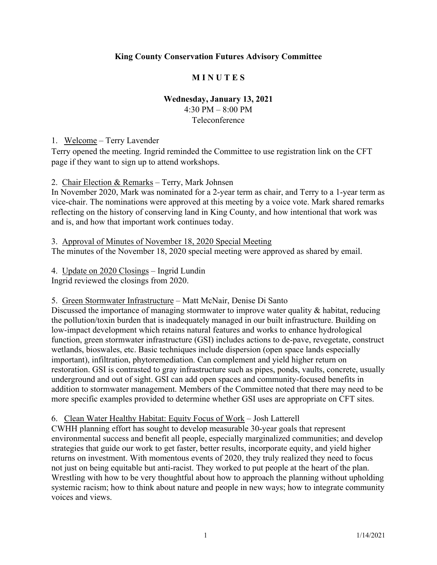# **King County Conservation Futures Advisory Committee**

# **M I N U T E S**

### **Wednesday, January 13, 2021**

4:30 PM – 8:00 PM Teleconference

1. Welcome – Terry Lavender

Terry opened the meeting. Ingrid reminded the Committee to use registration link on the CFT page if they want to sign up to attend workshops.

2. Chair Election & Remarks – Terry, Mark Johnsen

In November 2020, Mark was nominated for a 2-year term as chair, and Terry to a 1-year term as vice-chair. The nominations were approved at this meeting by a voice vote. Mark shared remarks reflecting on the history of conserving land in King County, and how intentional that work was and is, and how that important work continues today.

3. Approval of Minutes of November 18, 2020 Special Meeting The minutes of the November 18, 2020 special meeting were approved as shared by email.

4. Update on 2020 Closings – Ingrid Lundin Ingrid reviewed the closings from 2020.

5. Green Stormwater Infrastructure – Matt McNair, Denise Di Santo

Discussed the importance of managing stormwater to improve water quality & habitat, reducing the pollution/toxin burden that is inadequately managed in our built infrastructure. Building on low-impact development which retains natural features and works to enhance hydrological function, green stormwater infrastructure (GSI) includes actions to de-pave, revegetate, construct wetlands, bioswales, etc. Basic techniques include dispersion (open space lands especially important), infiltration, phytoremediation. Can complement and yield higher return on restoration. GSI is contrasted to gray infrastructure such as pipes, ponds, vaults, concrete, usually underground and out of sight. GSI can add open spaces and community-focused benefits in addition to stormwater management. Members of the Committee noted that there may need to be more specific examples provided to determine whether GSI uses are appropriate on CFT sites.

6. Clean Water Healthy Habitat: Equity Focus of Work – Josh Latterell

CWHH planning effort has sought to develop measurable 30-year goals that represent environmental success and benefit all people, especially marginalized communities; and develop strategies that guide our work to get faster, better results, incorporate equity, and yield higher returns on investment. With momentous events of 2020, they truly realized they need to focus not just on being equitable but anti-racist. They worked to put people at the heart of the plan. Wrestling with how to be very thoughtful about how to approach the planning without upholding systemic racism; how to think about nature and people in new ways; how to integrate community voices and views.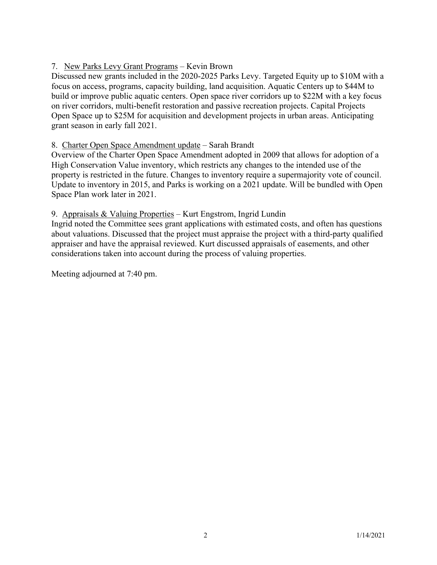# 7. New Parks Levy Grant Programs – Kevin Brown

Discussed new grants included in the 2020-2025 Parks Levy. Targeted Equity up to \$10M with a focus on access, programs, capacity building, land acquisition. Aquatic Centers up to \$44M to build or improve public aquatic centers. Open space river corridors up to \$22M with a key focus on river corridors, multi-benefit restoration and passive recreation projects. Capital Projects Open Space up to \$25M for acquisition and development projects in urban areas. Anticipating grant season in early fall 2021.

### 8. Charter Open Space Amendment update – Sarah Brandt

Overview of the Charter Open Space Amendment adopted in 2009 that allows for adoption of a High Conservation Value inventory, which restricts any changes to the intended use of the property is restricted in the future. Changes to inventory require a supermajority vote of council. Update to inventory in 2015, and Parks is working on a 2021 update. Will be bundled with Open Space Plan work later in 2021.

#### 9. Appraisals & Valuing Properties – Kurt Engstrom, Ingrid Lundin

Ingrid noted the Committee sees grant applications with estimated costs, and often has questions about valuations. Discussed that the project must appraise the project with a third-party qualified appraiser and have the appraisal reviewed. Kurt discussed appraisals of easements, and other considerations taken into account during the process of valuing properties.

Meeting adjourned at 7:40 pm.